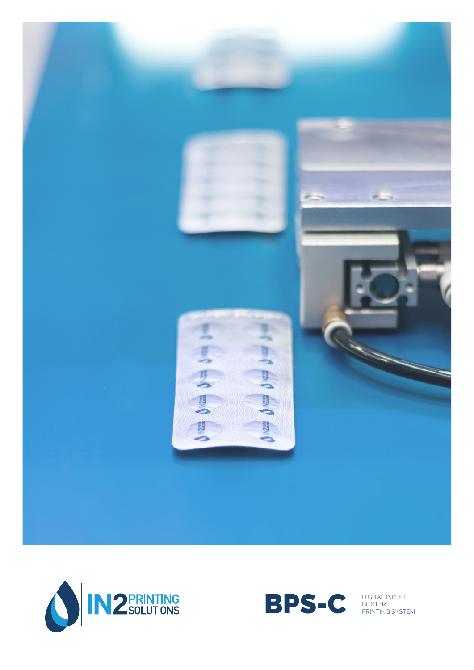





BLISTER PRINTING SYSTEM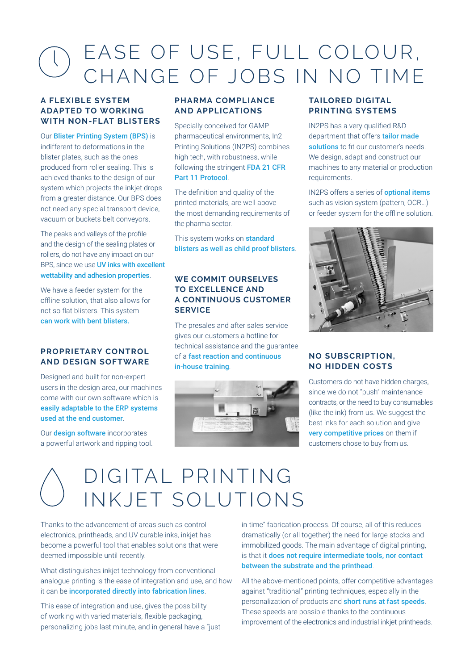# EASE OF USE, FULL COLOUR,  $\left\langle \right\rangle$ CHANGE OF JOBS IN NO TIME

#### **A FLEXIBLE SYSTEM ADAPTED TO WORKING WITH NON-FLAT BLISTERS**

Our Blister Printing System (BPS) is indifferent to deformations in the blister plates, such as the ones produced from roller sealing. This is achieved thanks to the design of our system which projects the inkiet drops from a greater distance. Our BPS does not need any special transport device, vacuum or buckets belt conveyors.

The peaks and valleys of the profile and the design of the sealing plates or rollers, do not have any impact on our BPS, since we use **UV inks with excellent** wettability and adhesion properties.

We have a feeder system for the offline solution, that also allows for not so flat blisters. This system can work with bent blisters.

#### **PROPRIETARY CONTROL AND DESIGN SOFTWARE**

Designed and built for non-expert users in the design area, our machines come with our own software which is easily adaptable to the ERP systems used at the end customer.

Our **design software** incorporates a powerful artwork and ripping tool.

## **PHARMA COMPLIANCE AND APPLICATIONS**

Specially conceived for GAMP pharmaceutical environments, In2 Printing Solutions (IN2PS) combines high tech, with robustness, while following the stringent FDA 21 CFR Part 11 Protocol.

The definition and quality of the printed materials, are well above the most demanding requirements of the pharma sector.

This system works on **standard** blisters as well as child proof blisters.

#### **WE COMMIT OURSELVES TO EXCELLENCE AND A CONTINUOUS CUSTOMER SERVICE**

The presales and after sales service gives our customers a hotline for technical assistance and the guarantee of a fast reaction and continuous in-house training.



## **TAILORED DIGITAL PRINTING SYSTEMS**

IN2PS has a very qualified R&D department that offers tailor made solutions to fit our customer's needs. We design, adapt and construct our machines to any material or production requirements.

IN2PS offers a series of **optional items** such as vision system (pattern, OCR…) or feeder system for the offline solution.



#### **NO SUBSCRIPTION, NO HIDDEN COSTS**

Customers do not have hidden charges, since we do not "push" maintenance contracts, or the need to buy consumables (like the ink) from us. We suggest the best inks for each solution and give very competitive prices on them if customers chose to buy from us.

# DIGITAL PRINTING INKJET SOLUTIONS

Thanks to the advancement of areas such as control electronics, printheads, and UV curable inks, inkjet has become a powerful tool that enables solutions that were deemed impossible until recently.

What distinguishes inkjet technology from conventional analogue printing is the ease of integration and use, and how it can be incorporated directly into fabrication lines.

This ease of integration and use, gives the possibility of working with varied materials, flexible packaging, personalizing jobs last minute, and in general have a "just

in time" fabrication process. Of course, all of this reduces dramatically (or all together) the need for large stocks and immobilized goods. The main advantage of digital printing, is that it does not require intermediate tools, nor contact between the substrate and the printhead.

All the above-mentioned points, offer competitive advantages against "traditional" printing techniques, especially in the personalization of products and short runs at fast speeds. These speeds are possible thanks to the continuous improvement of the electronics and industrial inkjet printheads.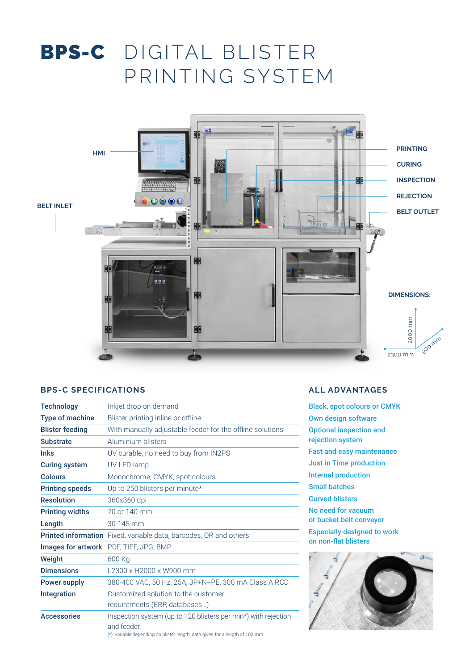# BPS-C DIGITAL BLISTER PRINTING SYSTEM



#### **BPS-C SPECIFICATIONS**

| <b>Technology</b>      | Inkjet drop on demand                                                         |
|------------------------|-------------------------------------------------------------------------------|
| <b>Type of machine</b> | Blister printing inline or offline                                            |
| <b>Blister feeding</b> | With manually adjustable feeder for the offline solutions                     |
| <b>Substrate</b>       | Aluminium blisters                                                            |
| <b>Inks</b>            | UV curable, no need to buy from IN2PS                                         |
| <b>Curing system</b>   | UV LED lamp                                                                   |
| <b>Colours</b>         | Monochrome, CMYK, spot colours                                                |
| <b>Printing speeds</b> | Up to 250 blisters per minute*                                                |
| <b>Resolution</b>      | 360x360 dpi                                                                   |
| <b>Printing widths</b> | 70 or 140 mm                                                                  |
| Length                 | 30-145 mm                                                                     |
|                        | Printed information Fixed, variable data, barcodes, QR and others             |
|                        | Images for artwork PDF, TIFF, JPG, BMP                                        |
| Weight                 | 600 Kg                                                                        |
| <b>Dimensions</b>      | L2300 x H2000 x W900 mm                                                       |
| <b>Power supply</b>    | 380-400 VAC, 50 Hz, 25A, 3P+N+PE, 300 mA Class A RCD                          |
| <b>Integration</b>     | Customized solution to the customer                                           |
|                        | requirements (ERP, databases)                                                 |
| <b>Accessories</b>     | Inspection system (up to 120 blisters per min*) with rejection<br>and feeder. |

# **ALL ADVANTAGES**

Black, spot colours or CMYK Own design software Optional inspection and rejection system Fast and easy maintenance Just in Time production Internal production Small batches Curved blisters No need for vacuum or bucket belt conveyor Especially designed to work on non-flat blisters



(\*): variable depending on blister length, data given for a length of 102 mm